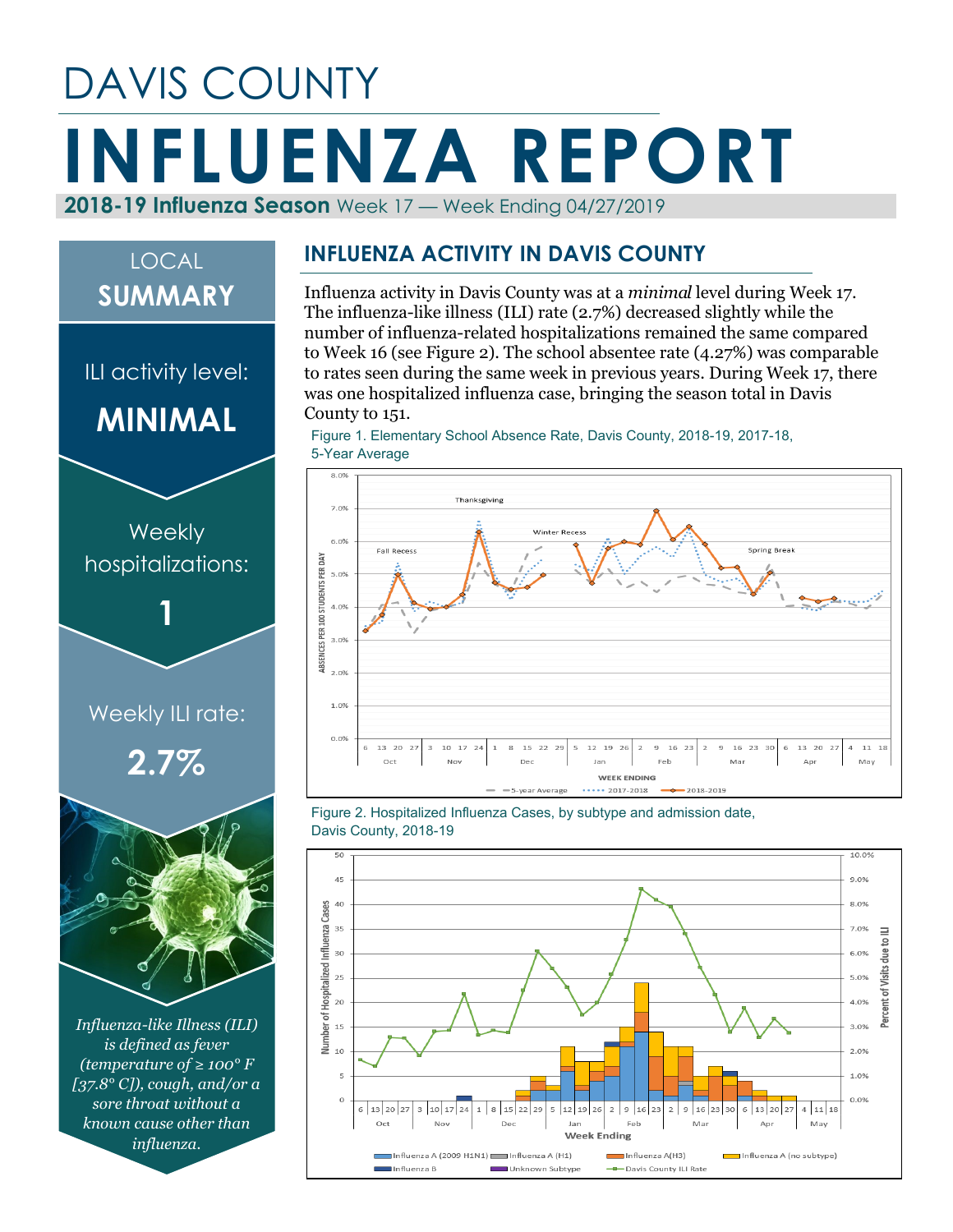# DAVIS COUNTY **INFLUENZA REPORT 2018-19 Influenza Season** Week 17 — Week Ending 04/27/2019

## LOCAL **SUMMARY**

ILI activity level:

**MINIMAL**



*Influenza-like Illness (ILI) is defined as fever (temperature of ≥ 100° F [37.8° C]), cough, and/or a sore throat without a known cause other than influenza.*

#### **INFLUENZA ACTIVITY IN DAVIS COUNTY**

Influenza activity in Davis County was at a *minimal* level during Week 17. The influenza-like illness (ILI) rate (2.7%) decreased slightly while the number of influenza-related hospitalizations remained the same compared to Week 16 (see Figure 2). The school absentee rate (4.27%) was comparable to rates seen during the same week in previous years. During Week 17, there was one hospitalized influenza case, bringing the season total in Davis County to 151.

Figure 1. Elementary School Absence Rate, Davis County, 2018-19, 2017-18, 5-Year Average



Figure 2. Hospitalized Influenza Cases, by subtype and admission date, Davis County, 2018-19